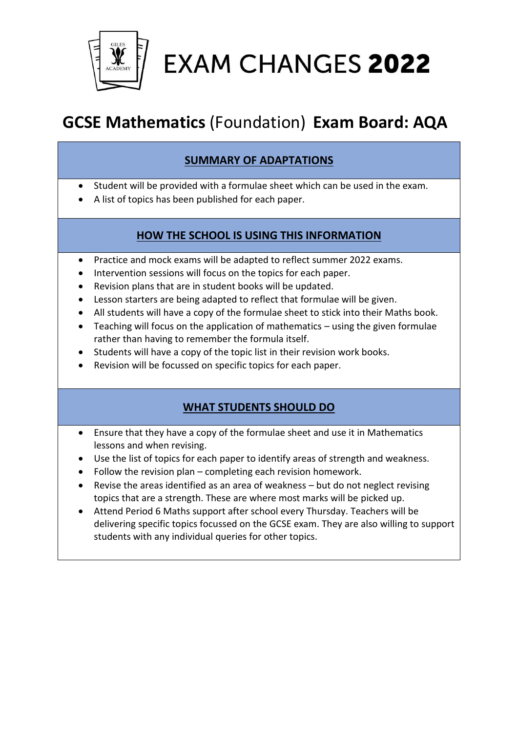

**EXAM CHANGES 2022** 

## **GCSE Mathematics** (Foundation) **Exam Board: AQA**

## **SUMMARY OF ADAPTATIONS**

- Student will be provided with a formulae sheet which can be used in the exam.
- A list of topics has been published for each paper.

## **HOW THE SCHOOL IS USING THIS INFORMATION**

- Practice and mock exams will be adapted to reflect summer 2022 exams.
- Intervention sessions will focus on the topics for each paper.
- Revision plans that are in student books will be updated.
- Lesson starters are being adapted to reflect that formulae will be given.
- All students will have a copy of the formulae sheet to stick into their Maths book.
- Teaching will focus on the application of mathematics using the given formulae rather than having to remember the formula itself.
- Students will have a copy of the topic list in their revision work books.
- Revision will be focussed on specific topics for each paper.

### **WHAT STUDENTS SHOULD DO**

- Ensure that they have a copy of the formulae sheet and use it in Mathematics lessons and when revising.
- Use the list of topics for each paper to identify areas of strength and weakness.
- Follow the revision plan completing each revision homework.
- Revise the areas identified as an area of weakness but do not neglect revising topics that are a strength. These are where most marks will be picked up.
- Attend Period 6 Maths support after school every Thursday. Teachers will be delivering specific topics focussed on the GCSE exam. They are also willing to support students with any individual queries for other topics.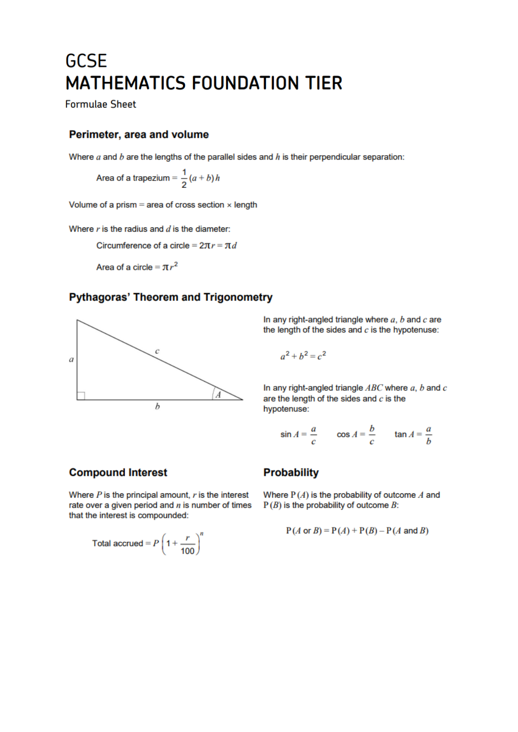# **GCSE MATHEMATICS FOUNDATION TIER**

**Formulae Sheet** 

### Perimeter, area and volume

Where  $a$  and  $b$  are the lengths of the parallel sides and  $h$  is their perpendicular separation:

Area of a trapezium =  $\frac{1}{2}(a + b)h$ 

Volume of a prism = area of cross section  $\times$  length

Where  $r$  is the radius and  $d$  is the diameter:

Circumference of a circle =  $2\pi r = \pi d$ 

Area of a circle =  $\pi r^2$ 

### **Pythagoras' Theorem and Trigonometry**



In any right-angled triangle where  $a, b$  and  $c$  are the length of the sides and  $c$  is the hypotenuse:

 $a^2 + b^2 = c^2$ 

In any right-angled triangle  $ABC$  where  $a, b$  and  $c$ are the length of the sides and  $c$  is the hypotenuse:

$$
\sin A = \frac{a}{c} \qquad \cos A = \frac{b}{c} \qquad \tan A = \frac{a}{b}
$$

### **Compound Interest**

Where  $P$  is the principal amount,  $r$  is the interest rate over a given period and  $n$  is number of times that the interest is compounded:

Total accrued = 
$$
P\left(1 + \frac{r}{100}\right)^n
$$

### **Probability**

Where  $P(A)$  is the probability of outcome  $A$  and  $P(B)$  is the probability of outcome  $B$ :

$$
P(A \text{ or } B) = P(A) + P(B) - P(A \text{ and } B)
$$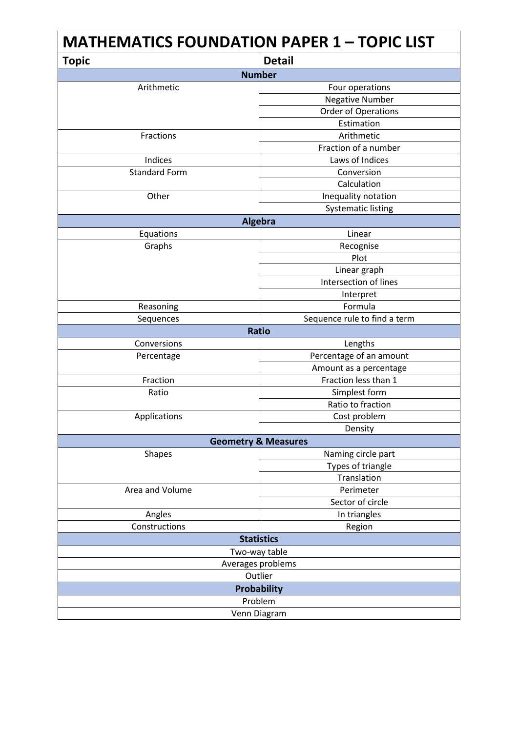| <b>MATHEMATICS FOUNDATION PAPER 1 - TOPIC LIST</b> |                              |  |
|----------------------------------------------------|------------------------------|--|
| <b>Topic</b>                                       | <b>Detail</b>                |  |
| <b>Number</b>                                      |                              |  |
| Arithmetic                                         | Four operations              |  |
|                                                    | <b>Negative Number</b>       |  |
|                                                    | <b>Order of Operations</b>   |  |
|                                                    | Estimation                   |  |
| Fractions                                          | Arithmetic                   |  |
|                                                    | Fraction of a number         |  |
| Indices                                            | Laws of Indices              |  |
| <b>Standard Form</b>                               | Conversion                   |  |
|                                                    | Calculation                  |  |
| Other                                              | Inequality notation          |  |
|                                                    | <b>Systematic listing</b>    |  |
|                                                    | Algebra                      |  |
| Equations                                          | Linear                       |  |
| Graphs                                             | Recognise                    |  |
|                                                    | Plot                         |  |
|                                                    | Linear graph                 |  |
|                                                    | Intersection of lines        |  |
|                                                    | Interpret                    |  |
| Reasoning                                          | Formula                      |  |
| Sequences                                          | Sequence rule to find a term |  |
|                                                    | <b>Ratio</b>                 |  |
| Conversions                                        | Lengths                      |  |
| Percentage                                         | Percentage of an amount      |  |
|                                                    | Amount as a percentage       |  |
| Fraction                                           | Fraction less than 1         |  |
| Ratio                                              | Simplest form                |  |
|                                                    | Ratio to fraction            |  |
| Applications                                       | Cost problem                 |  |
|                                                    | Density                      |  |
| <b>Geometry &amp; Measures</b>                     |                              |  |
| <b>Shapes</b>                                      | Naming circle part           |  |
|                                                    | Types of triangle            |  |
|                                                    | Translation                  |  |
| Area and Volume                                    | Perimeter                    |  |
|                                                    | Sector of circle             |  |
| Angles                                             | In triangles                 |  |
| Constructions                                      | Region                       |  |
| <b>Statistics</b>                                  |                              |  |
| Two-way table                                      |                              |  |
| Averages problems                                  |                              |  |
| Outlier                                            |                              |  |
| <b>Probability</b>                                 |                              |  |
| Problem                                            |                              |  |
| Venn Diagram                                       |                              |  |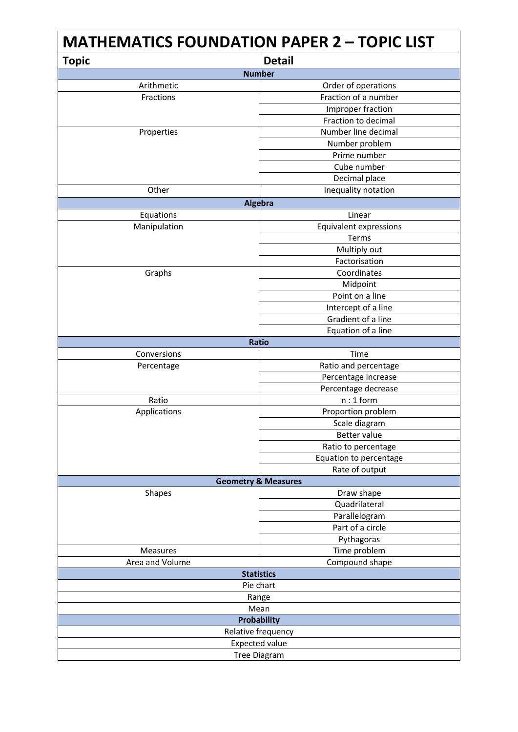| <b>MATHEMATICS FOUNDATION PAPER 2 - TOPIC LIST</b> |                                   |  |
|----------------------------------------------------|-----------------------------------|--|
| <b>Topic</b>                                       | <b>Detail</b>                     |  |
| <b>Number</b>                                      |                                   |  |
| Arithmetic                                         | Order of operations               |  |
| Fractions                                          | Fraction of a number              |  |
|                                                    | Improper fraction                 |  |
|                                                    | Fraction to decimal               |  |
| Properties                                         | Number line decimal               |  |
|                                                    | Number problem                    |  |
|                                                    | Prime number                      |  |
|                                                    | Cube number                       |  |
|                                                    | Decimal place                     |  |
| Other                                              | Inequality notation               |  |
| Algebra                                            |                                   |  |
| Equations                                          | Linear                            |  |
| Manipulation                                       | <b>Equivalent expressions</b>     |  |
|                                                    | Terms                             |  |
|                                                    | Multiply out                      |  |
|                                                    | Factorisation                     |  |
| Graphs                                             | Coordinates                       |  |
|                                                    | Midpoint                          |  |
|                                                    | Point on a line                   |  |
|                                                    | Intercept of a line               |  |
|                                                    | Gradient of a line                |  |
|                                                    | Equation of a line                |  |
|                                                    | <b>Ratio</b>                      |  |
| Conversions                                        | Time                              |  |
| Percentage                                         | Ratio and percentage              |  |
|                                                    | Percentage increase               |  |
|                                                    | Percentage decrease               |  |
| Ratio                                              | $n:1$ form                        |  |
| Applications                                       | Proportion problem                |  |
|                                                    | Scale diagram                     |  |
|                                                    | Better value                      |  |
|                                                    | Ratio to percentage               |  |
|                                                    | Equation to percentage            |  |
|                                                    | Rate of output                    |  |
| <b>Geometry &amp; Measures</b>                     |                                   |  |
| Shapes                                             | Draw shape                        |  |
|                                                    | Quadrilateral                     |  |
|                                                    | Parallelogram<br>Part of a circle |  |
|                                                    |                                   |  |
|                                                    | Pythagoras                        |  |
| <b>Measures</b>                                    | Time problem                      |  |
| Area and Volume                                    | Compound shape                    |  |
| <b>Statistics</b>                                  |                                   |  |
| Pie chart                                          |                                   |  |
| Range<br>Mean                                      |                                   |  |
| <b>Probability</b>                                 |                                   |  |
| Relative frequency                                 |                                   |  |
| <b>Expected value</b>                              |                                   |  |
|                                                    |                                   |  |
| Tree Diagram                                       |                                   |  |